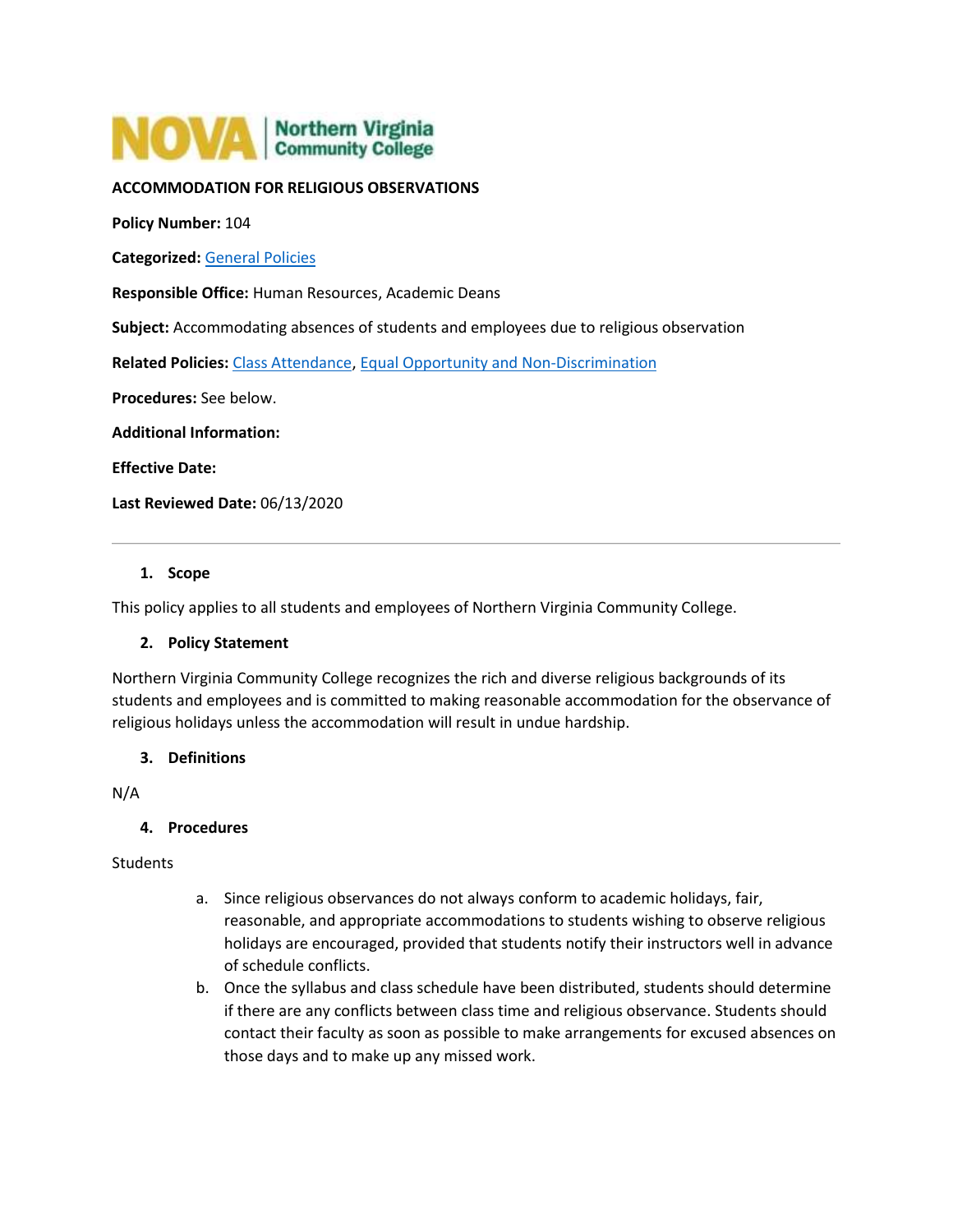# NOVA | Northern Virginia

# **ACCOMMODATION FOR RELIGIOUS OBSERVATIONS**

**Policy Number:** 104

**Categorized:** [General Policies](https://www.nvcc.edu/policies/Default.aspx?cat=General%20Policies)

**Responsible Office:** Human Resources, Academic Deans

**Subject:** Accommodating absences of students and employees due to religious observation

**Related Policies:** [Class Attendance,](https://www.nvcc.edu/policies/policies.aspx?num=604) [Equal Opportunity and Non-Discrimination](https://www.nvcc.edu/policies/policies.aspx?num=102)

**Procedures:** See below.

**Additional Information:**

**Effective Date:**

**Last Reviewed Date:** 06/13/2020

## **1. Scope**

This policy applies to all students and employees of Northern Virginia Community College.

## **2. Policy Statement**

Northern Virginia Community College recognizes the rich and diverse religious backgrounds of its students and employees and is committed to making reasonable accommodation for the observance of religious holidays unless the accommodation will result in undue hardship.

## **3. Definitions**

N/A

#### **4. Procedures**

#### **Students**

- a. Since religious observances do not always conform to academic holidays, fair, reasonable, and appropriate accommodations to students wishing to observe religious holidays are encouraged, provided that students notify their instructors well in advance of schedule conflicts.
- b. Once the syllabus and class schedule have been distributed, students should determine if there are any conflicts between class time and religious observance. Students should contact their faculty as soon as possible to make arrangements for excused absences on those days and to make up any missed work.